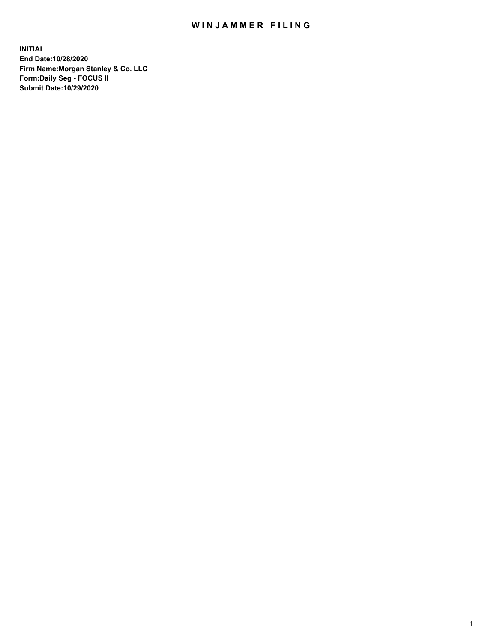# WIN JAMMER FILING

**INITIAL End Date:10/28/2020 Firm Name:Morgan Stanley & Co. LLC Form:Daily Seg - FOCUS II Submit Date:10/29/2020**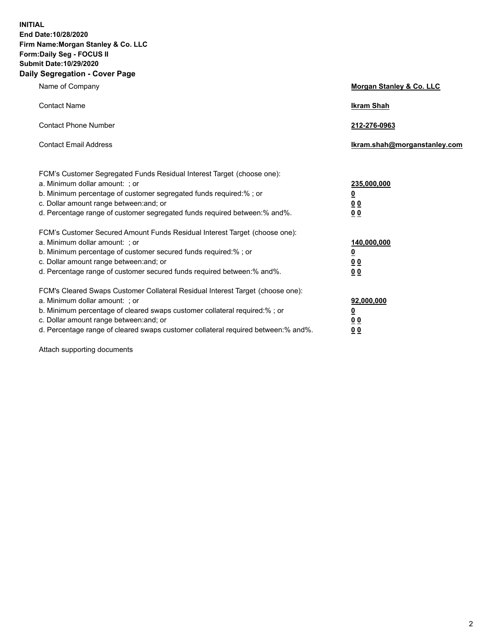**INITIAL End Date:10/28/2020 Firm Name:Morgan Stanley & Co. LLC Form:Daily Seg - FOCUS II Submit Date:10/29/2020 Daily Segregation - Cover Page**

| Name of Company                                                                   | Morgan Stanley & Co. LLC     |
|-----------------------------------------------------------------------------------|------------------------------|
| <b>Contact Name</b>                                                               | <b>Ikram Shah</b>            |
| <b>Contact Phone Number</b>                                                       | 212-276-0963                 |
| <b>Contact Email Address</b>                                                      | Ikram.shah@morganstanley.com |
| FCM's Customer Segregated Funds Residual Interest Target (choose one):            |                              |
| a. Minimum dollar amount: ; or                                                    | 235,000,000                  |
| b. Minimum percentage of customer segregated funds required:%; or                 | <u>0</u>                     |
| c. Dollar amount range between: and; or                                           | 0 <sub>0</sub>               |
| d. Percentage range of customer segregated funds required between: % and %.       | 0 <sub>0</sub>               |
| FCM's Customer Secured Amount Funds Residual Interest Target (choose one):        |                              |
| a. Minimum dollar amount: ; or                                                    | 140,000,000                  |
| b. Minimum percentage of customer secured funds required:%; or                    | <u>0</u>                     |
| c. Dollar amount range between: and; or                                           | 0 <sub>0</sub>               |
| d. Percentage range of customer secured funds required between:% and%.            | 0 <sub>0</sub>               |
| FCM's Cleared Swaps Customer Collateral Residual Interest Target (choose one):    |                              |
| a. Minimum dollar amount: ; or                                                    | 92,000,000                   |
| b. Minimum percentage of cleared swaps customer collateral required:% ; or        | <u>0</u>                     |
| c. Dollar amount range between: and; or                                           | <u>00</u>                    |
| d. Percentage range of cleared swaps customer collateral required between:% and%. | 00                           |

Attach supporting documents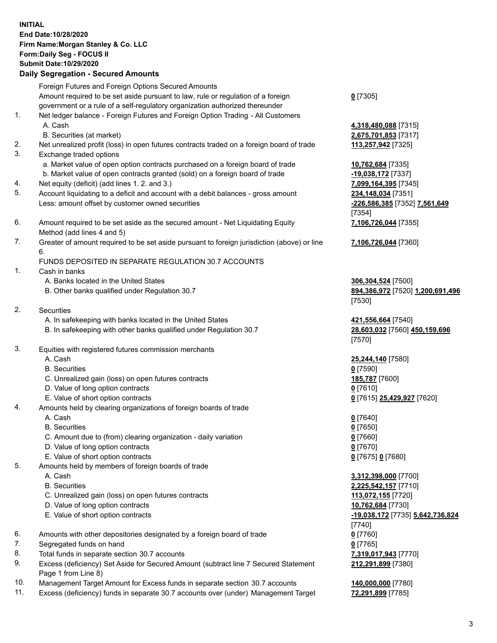## **INITIAL End Date:10/28/2020 Firm Name:Morgan Stanley & Co. LLC Form:Daily Seg - FOCUS II Submit Date:10/29/2020**

### **Daily Segregation - Secured Amounts**

Foreign Futures and Foreign Options Secured Amounts Amount required to be set aside pursuant to law, rule or regulation of a foreign government or a rule of a self-regulatory organization authorized thereunder

- 1. Net ledger balance Foreign Futures and Foreign Option Trading All Customers A. Cash **4,318,480,088** [7315]
	- B. Securities (at market) **2,675,701,853** [7317]
- 2. Net unrealized profit (loss) in open futures contracts traded on a foreign board of trade **113,257,942** [7325]
- 3. Exchange traded options
	- a. Market value of open option contracts purchased on a foreign board of trade **10,762,684** [7335]
	- b. Market value of open contracts granted (sold) on a foreign board of trade **-19,038,172** [7337]
- 4. Net equity (deficit) (add lines 1. 2. and 3.) **7,099,164,395** [7345]
- 5. Account liquidating to a deficit and account with a debit balances gross amount **234,148,034** [7351] Less: amount offset by customer owned securities **-226,586,385** [7352] **7,561,649**
- 6. Amount required to be set aside as the secured amount Net Liquidating Equity Method (add lines 4 and 5)
- 7. Greater of amount required to be set aside pursuant to foreign jurisdiction (above) or line 6.

#### FUNDS DEPOSITED IN SEPARATE REGULATION 30.7 ACCOUNTS

- 1. Cash in banks
	- A. Banks located in the United States **306,304,524** [7500]
	- B. Other banks qualified under Regulation 30.7 **894,386,972** [7520] **1,200,691,496**
- 2. Securities
	- A. In safekeeping with banks located in the United States **421,556,664** [7540]
	- B. In safekeeping with other banks qualified under Regulation 30.7 **28,603,032** [7560] **450,159,696**
- 3. Equities with registered futures commission merchants
	-
	- B. Securities **0** [7590]
	- C. Unrealized gain (loss) on open futures contracts **185,787** [7600]
	- D. Value of long option contracts **0** [7610]
	- E. Value of short option contracts **0** [7615] **25,429,927** [7620]
- 4. Amounts held by clearing organizations of foreign boards of trade
	-
	- B. Securities **0** [7650]
	- C. Amount due to (from) clearing organization daily variation **0** [7660]
	- D. Value of long option contracts **0** [7670]
	- E. Value of short option contracts **0** [7675] **0** [7680]
- 5. Amounts held by members of foreign boards of trade
	-
	-
	- C. Unrealized gain (loss) on open futures contracts **113,072,155** [7720]
	- D. Value of long option contracts **10,762,684** [7730]
	-
- 6. Amounts with other depositories designated by a foreign board of trade **0** [7760]
- 7. Segregated funds on hand **0** [7765]
- 8. Total funds in separate section 30.7 accounts **7,319,017,943** [7770]
- 9. Excess (deficiency) Set Aside for Secured Amount (subtract line 7 Secured Statement Page 1 from Line 8)
- 10. Management Target Amount for Excess funds in separate section 30.7 accounts **140,000,000** [7780]
- 11. Excess (deficiency) funds in separate 30.7 accounts over (under) Management Target **72,291,899** [7785]

### **0** [7305]

[7354] **7,106,726,044** [7355]

**7,106,726,044** [7360]

[7530]

[7570]

A. Cash **25,244,140** [7580]

A. Cash **0** [7640]

 A. Cash **3,312,398,000** [7700] B. Securities **2,225,542,157** [7710] E. Value of short option contracts **-19,038,172** [7735] **5,642,736,824** [7740] **212,291,899** [7380]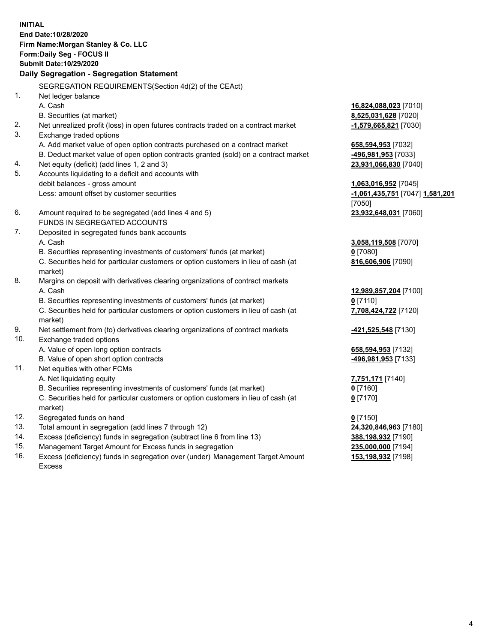**INITIAL End Date:10/28/2020 Firm Name:Morgan Stanley & Co. LLC Form:Daily Seg - FOCUS II Submit Date:10/29/2020 Daily Segregation - Segregation Statement** SEGREGATION REQUIREMENTS(Section 4d(2) of the CEAct) 1. Net ledger balance A. Cash **16,824,088,023** [7010] B. Securities (at market) **8,525,031,628** [7020] 2. Net unrealized profit (loss) in open futures contracts traded on a contract market **-1,579,665,821** [7030] 3. Exchange traded options A. Add market value of open option contracts purchased on a contract market **658,594,953** [7032] B. Deduct market value of open option contracts granted (sold) on a contract market **-496,981,953** [7033] 4. Net equity (deficit) (add lines 1, 2 and 3) **23,931,066,830** [7040] 5. Accounts liquidating to a deficit and accounts with debit balances - gross amount **1,063,016,952** [7045] Less: amount offset by customer securities **-1,061,435,751** [7047] **1,581,201** [7050] 6. Amount required to be segregated (add lines 4 and 5) **23,932,648,031** [7060] FUNDS IN SEGREGATED ACCOUNTS 7. Deposited in segregated funds bank accounts A. Cash **3,058,119,508** [7070] B. Securities representing investments of customers' funds (at market) **0** [7080] C. Securities held for particular customers or option customers in lieu of cash (at market) **816,606,906** [7090] 8. Margins on deposit with derivatives clearing organizations of contract markets A. Cash **12,989,857,204** [7100] B. Securities representing investments of customers' funds (at market) **0** [7110] C. Securities held for particular customers or option customers in lieu of cash (at market) **7,708,424,722** [7120] 9. Net settlement from (to) derivatives clearing organizations of contract markets **-421,525,548** [7130] 10. Exchange traded options A. Value of open long option contracts **658,594,953** [7132] B. Value of open short option contracts **-496,981,953** [7133] 11. Net equities with other FCMs A. Net liquidating equity **7,751,171** [7140] B. Securities representing investments of customers' funds (at market) **0** [7160] C. Securities held for particular customers or option customers in lieu of cash (at market) **0** [7170] 12. Segregated funds on hand **0** [7150] 13. Total amount in segregation (add lines 7 through 12) **24,320,846,963** [7180] 14. Excess (deficiency) funds in segregation (subtract line 6 from line 13) **388,198,932** [7190] 15. Management Target Amount for Excess funds in segregation **235,000,000** [7194]

16. Excess (deficiency) funds in segregation over (under) Management Target Amount

**153,198,932** [7198]